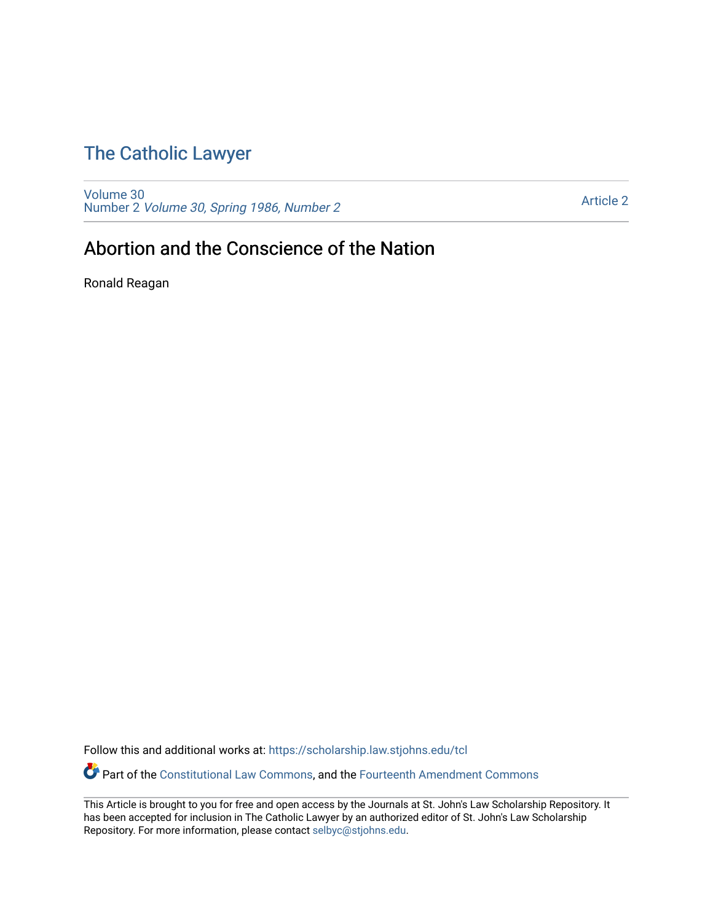## [The Catholic Lawyer](https://scholarship.law.stjohns.edu/tcl)

[Volume 30](https://scholarship.law.stjohns.edu/tcl/vol30) Number 2 [Volume 30, Spring 1986, Number 2](https://scholarship.law.stjohns.edu/tcl/vol30/iss2) 

[Article 2](https://scholarship.law.stjohns.edu/tcl/vol30/iss2/2) 

## Abortion and the Conscience of the Nation

Ronald Reagan

Follow this and additional works at: [https://scholarship.law.stjohns.edu/tcl](https://scholarship.law.stjohns.edu/tcl?utm_source=scholarship.law.stjohns.edu%2Ftcl%2Fvol30%2Fiss2%2F2&utm_medium=PDF&utm_campaign=PDFCoverPages) 

Part of the [Constitutional Law Commons,](http://network.bepress.com/hgg/discipline/589?utm_source=scholarship.law.stjohns.edu%2Ftcl%2Fvol30%2Fiss2%2F2&utm_medium=PDF&utm_campaign=PDFCoverPages) and the [Fourteenth Amendment Commons](http://network.bepress.com/hgg/discipline/1116?utm_source=scholarship.law.stjohns.edu%2Ftcl%2Fvol30%2Fiss2%2F2&utm_medium=PDF&utm_campaign=PDFCoverPages) 

This Article is brought to you for free and open access by the Journals at St. John's Law Scholarship Repository. It has been accepted for inclusion in The Catholic Lawyer by an authorized editor of St. John's Law Scholarship Repository. For more information, please contact [selbyc@stjohns.edu.](mailto:selbyc@stjohns.edu)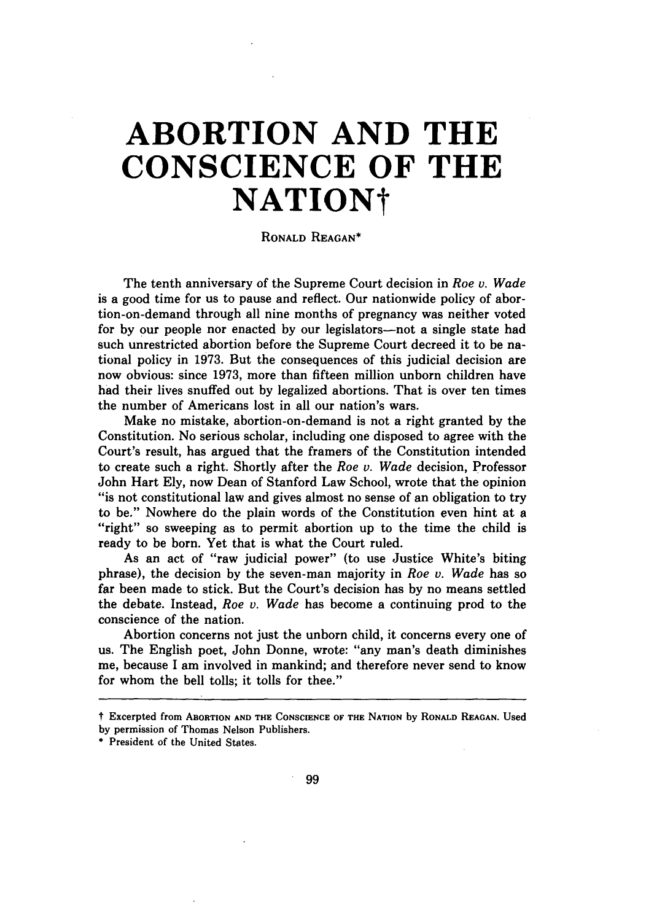## **ABORTION AND THE CONSCIENCE OF THE NATIONt**

**RONALD REAGAN\***

The tenth anniversary of the Supreme Court decision in *Roe v. Wade* is a good time for us to pause and reflect. Our nationwide policy of abortion-on-demand through all nine months of pregnancy was neither voted for **by** our people nor enacted **by** our legislators-not a single state had such unrestricted abortion before the Supreme Court decreed it to be national policy in **1973.** But the consequences of this judicial decision are now obvious: since **1973,** more than fifteen million unborn children have had their lives snuffed out **by** legalized abortions. That is over ten times the number of Americans lost in all our nation's wars.

Make no mistake, abortion-on-demand is not a right granted **by** the Constitution. No serious scholar, including one disposed to agree with the Court's result, has argued that the framers of the Constitution intended to create such a right. Shortly after the *Roe v. Wade* decision, Professor John Hart **Ely,** now Dean of Stanford Law School, wrote that the opinion "is not constitutional law and gives almost no sense of an obligation to try to be." Nowhere do the plain words of the Constitution even hint at a "right" so sweeping as to permit abortion up to the time the child is ready to be born. Yet that is what the Court ruled.

As an act of "raw judicial power" (to use Justice White's biting phrase), the decision **by** the seven-man majority in *Roe v. Wade* has so far been made to stick. But the Court's decision has **by** no means settled the debate. Instead, *Roe v. Wade* has become a continuing prod to the conscience of the nation.

Abortion concerns not just the unborn child, it concerns every one of us. The English poet, John Donne, wrote: "any man's death diminishes me, because I am involved in mankind; and therefore never send to know for whom the bell tolls; it tolls for thee."

t Excerpted from ABORTION **AND** THE **CONSCIENCE** OF THE **NATION by** RONALD **REAGAN. Used by** permission of Thomas Nelson Publishers.

**<sup>\*</sup>** President of the United States.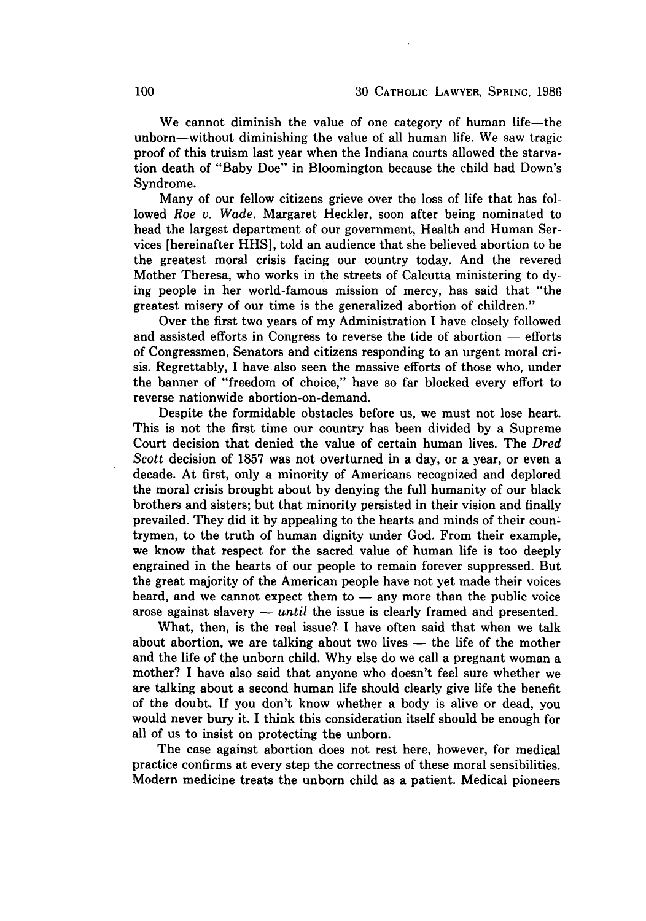We cannot diminish the value of one category of human life—the unborn-without diminishing the value of all human life. We saw tragic proof of this truism last year when the Indiana courts allowed the starvation death of "Baby Doe" in Bloomington because the child had Down's Syndrome.

Many of our fellow citizens grieve over the loss of life that has followed *Roe v. Wade.* Margaret Heckler, soon after being nominated to head the largest department of our government, Health and Human Services [hereinafter HHS], told an audience that she believed abortion to be the greatest moral crisis facing our country today. And the revered Mother Theresa, who works in the streets of Calcutta ministering to dying people in her world-famous mission of mercy, has said that "the greatest misery of our time is the generalized abortion of children."

Over the first two years of my Administration I have closely followed and assisted efforts in Congress to reverse the tide of abortion  $-$  efforts of Congressmen, Senators and citizens responding to an urgent moral crisis. Regrettably, I have also seen the massive efforts of those who, under the banner of "freedom of choice," have so far blocked every effort to reverse nationwide abortion-on-demand.

Despite the formidable obstacles before us, we must not lose heart. This is not the first time our country has been divided by a Supreme Court decision that denied the value of certain human lives. The *Dred Scott* decision of 1857 was not overturned in a day, or a year, or even a decade. At first, only a minority of Americans recognized and deplored the moral crisis brought about by denying the full humanity of our black brothers and sisters; but that minority persisted in their vision and finally prevailed. They did it by appealing to the hearts and minds of their countrymen, to the truth of human dignity under God. From their example, we know that respect for the sacred value of human life is too deeply engrained in the hearts of our people to remain forever suppressed. But the great majority of the American people have not yet made their voices heard, and we cannot expect them to  $-$  any more than the public voice arose against slavery - *until* the issue is clearly framed and presented.

What, then, is the real issue? I have often said that when we talk about abortion, we are talking about two lives  $-$  the life of the mother and the life of the unborn child. Why else do we call a pregnant woman a mother? I have also said that anyone who doesn't feel sure whether we are talking about a second human life should clearly give life the benefit of the doubt. If you don't know whether a body is alive or dead, you would never bury it. I think this consideration itself should be enough for all of us to insist on protecting the unborn.

The case against abortion does not rest here, however, for medical practice confirms at every step the correctness of these moral sensibilities. Modern medicine treats the unborn child as a patient. Medical pioneers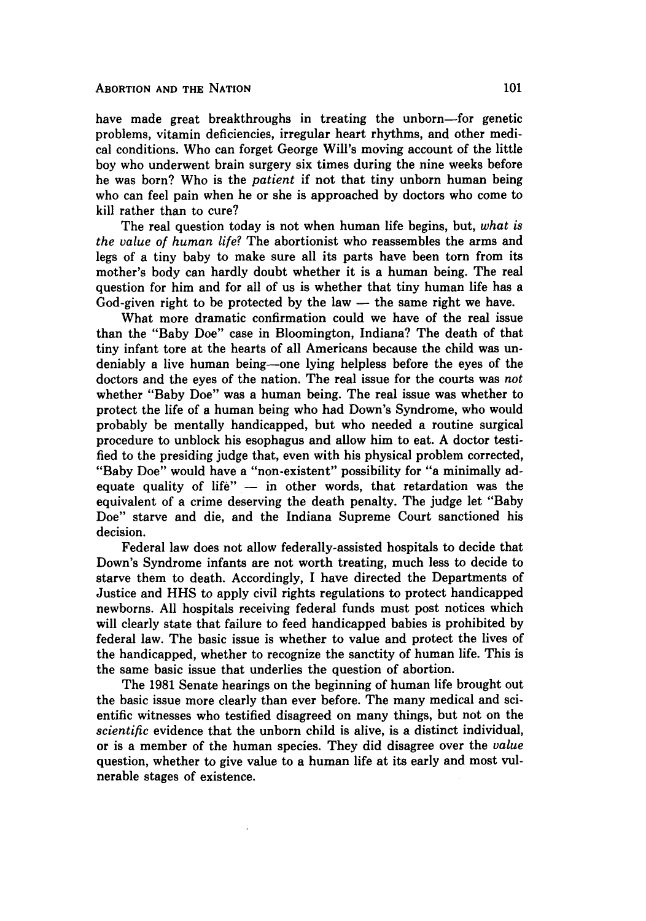have made great breakthroughs in treating the unborn-for genetic problems, vitamin deficiencies, irregular heart rhythms, and other medical conditions. Who can forget George Will's moving account of the little boy who underwent brain surgery six times during the nine weeks before he was born? Who is the *patient* if not that tiny unborn human being who can feel pain when he or she is approached **by** doctors who come to kill rather than to cure?

The real question today is not when human life begins, but, *what is the value of human life?* The abortionist who reassembles the arms and legs of a tiny baby to make sure all its parts have been torn from its mother's body can hardly doubt whether it is a human being. The real question for him and for all of us is whether that tiny human life has a God-given right to be protected by the law  $-$  the same right we have.

What more dramatic confirmation could we have of the real issue than the "Baby Doe" case in Bloomington, Indiana? The death of that tiny infant tore at the hearts of all Americans because the child was undeniably a live human being-one lying helpless before the eyes of the doctors and the eyes of the nation. The real issue for the courts was *not* whether "Baby Doe" was a human being. The real issue was whether to protect the life of a human being who had Down's Syndrome, who would probably be mentally handicapped, but who needed a routine surgical procedure to unblock his esophagus and allow him to eat. A doctor testified to the presiding judge that, even with his physical problem corrected, "Baby Doe" would have a "non-existent" possibility for "a minimally adequate quality of life"  $-$  in other words, that retardation was the equivalent of a crime deserving the death penalty. The judge let "Baby Doe" starve and die, and the Indiana Supreme Court sanctioned his decision.

Federal law does not allow federally-assisted hospitals to decide that Down's Syndrome infants are not worth treating, much less to decide to starve them to death. Accordingly, I have directed the Departments of Justice and HHS to apply civil rights regulations to protect handicapped newborns. All hospitals receiving federal funds must post notices which will clearly state that failure to feed handicapped babies is prohibited by federal law. The basic issue is whether to value and protect the lives of the handicapped, whether to recognize the sanctity of human life. This is the same basic issue that underlies the question of abortion.

The 1981 Senate hearings on the beginning of human life brought out the basic issue more clearly than ever before. The many medical and scientific witnesses who testified disagreed on many things, but not on the *scientific* evidence that the unborn child is alive, is a distinct individual, or is a member of the human species. They did disagree over the *value* question, whether to give value to a human life at its early and most vulnerable stages of existence.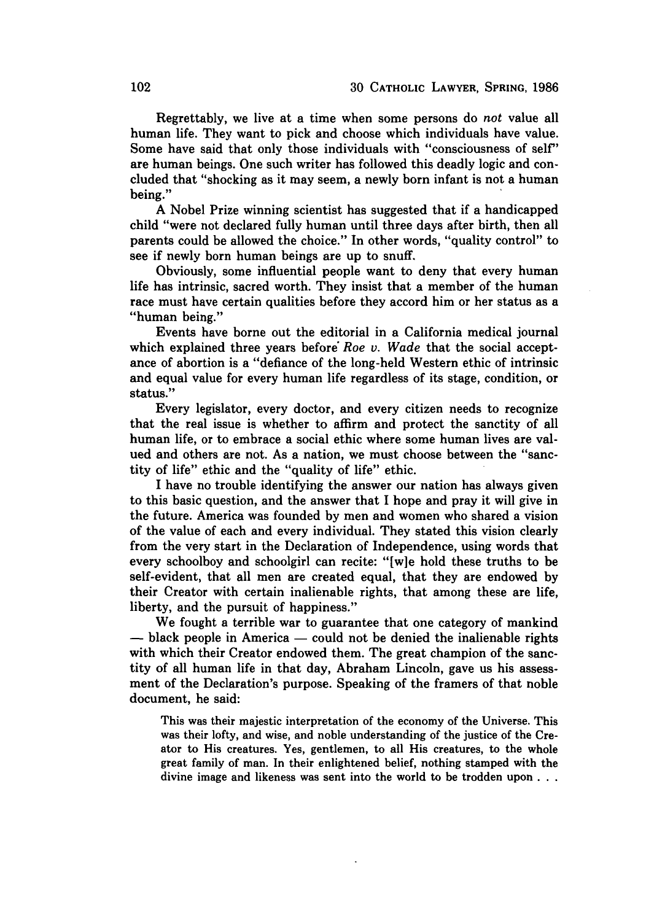Regrettably, we live at a time when some persons do *not* value all human life. They want to pick and choose which individuals have value. Some have said that only those individuals with "consciousness of self" are human beings. One such writer has followed this deadly logic and concluded that "shocking as it may seem, a newly born infant is not a human being."

**A** Nobel Prize winning scientist has suggested that if a handicapped child "were not declared fully human until three days after birth, then all parents could be allowed the choice." In other words, "quality control" to see if newly born human beings are up to snuff.

Obviously, some influential people want to deny that every human life has intrinsic, sacred worth. They insist that a member of the human race must have certain qualities before they accord him or her status as a "human being."

Events have borne out the editorial in a California medical journal which explained three years before *Roe v. Wade* that the social acceptance of abortion is a "defiance of the long-held Western ethic of intrinsic and equal value for every human life regardless of its stage, condition, or status."

Every legislator, every doctor, and every citizen needs to recognize that the real issue is whether to affirm and protect the sanctity of all human life, or to embrace a social ethic where some human lives are valued and others are not. As a nation, we must choose between the "sanctity of life" ethic and the "quality of life" ethic.

I have no trouble identifying the answer our nation has always given to this basic question, and the answer that **I** hope and pray it will give in the future. America was founded **by** men and women who shared a vision of the value of each and every individual. They stated this vision clearly from the very start in the Declaration of Independence, using words that every schoolboy and schoolgirl can recite: "[w]e hold these truths to be self-evident, that all men are created equal, that they are endowed **by** their Creator with certain inalienable rights, that among these are life, liberty, and the pursuit of happiness."

We fought a terrible war to guarantee that one category of mankind **-** black people in America **-** could not be denied the inalienable rights with which their Creator endowed them. The great champion of the sanctity of all human life in that day, Abraham Lincoln, gave us his assessment of the Declaration's purpose. Speaking of the framers of that noble document, he said:

This was their majestic interpretation of the economy of the Universe. This was their lofty, and wise, and noble understanding of the justice of the Creator to His creatures. Yes, gentlemen, to all His creatures, to the whole great family of man. In their enlightened belief, nothing stamped with the divine image and likeness was sent into the world to be trodden upon **...**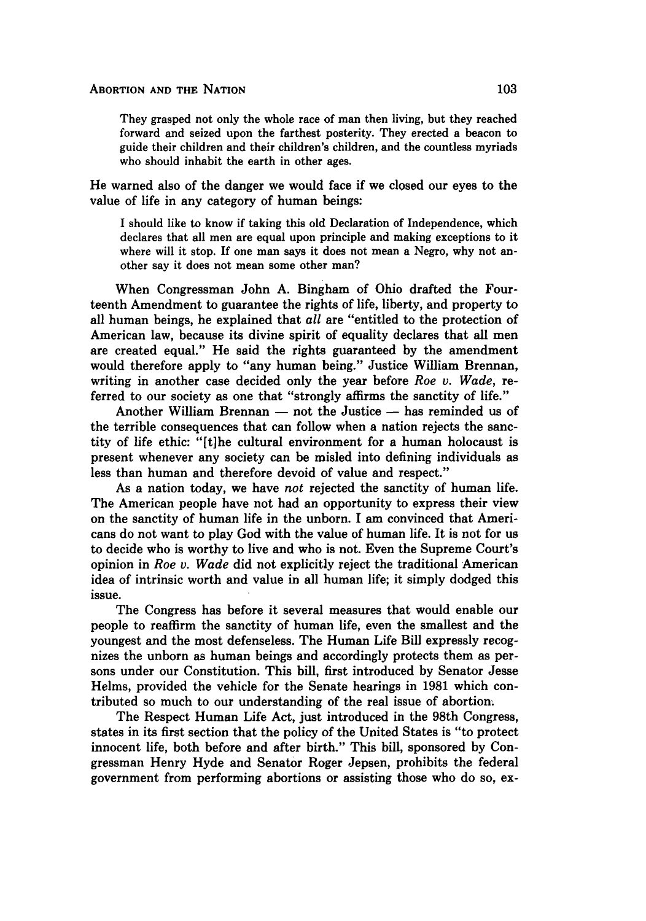They grasped not only the whole race of man then living, but they reached forward and seized upon the farthest posterity. They erected a beacon to guide their children and their children's children, and the countless myriads who should inhabit the earth in other ages.

He warned also of the danger we would face if we closed our eyes to the value of life in any category of human beings:

**I** should like to know if taking this old Declaration of Independence, which declares that all men are equal upon principle and making exceptions to it where will it stop. **If** one man says it does not mean a Negro, why not another say it does not mean some other man?

When Congressman John **A.** Bingham of Ohio drafted the Fourteenth Amendment to guarantee the rights of life, liberty, and property to all human beings, he explained that *all* are "entitled to the protection of American law, because its divine spirit of equality declares that all men are created equal." He said the rights guaranteed **by** the amendment would therefore apply to "any human being." Justice William Brennan, writing in another case decided only the year before *Roe v. Wade,* referred to our society as one that "strongly affirms the sanctity of life."

Another William Brennan - not the Justice - has reminded us of the terrible consequences that can follow when a nation rejects the sanctity of life ethic: "[t]he cultural environment for a human holocaust is present whenever any society can be misled into defining individuals as less than human and therefore devoid of value and respect."

As a nation today, we have *not* rejected the sanctity of human life. The American people have not had an opportunity to express their view on the sanctity of human life in the unborn. **I** am convinced that Americans do not want to play God with the value of human life. It is not for us to decide who is worthy to live and who is not. Even the Supreme Court's opinion in *Roe v. Wade* did not explicitly reject the traditional American idea of intrinsic worth and value in all human life; it simply dodged this issue.

The Congress has before it several measures that would enable our people to reaffirm the sanctity of human life, even the smallest and the youngest and the most defenseless. The Human Life Bill expressly recognizes the unborn as human beings and accordingly protects them as persons under our Constitution. This bill, first introduced **by** Senator Jesse Helms, provided the vehicle for the Senate hearings in **1981** which contributed so much to our understanding of the real issue of abortion.

The Respect Human Life Act, just introduced in the 98th Congress, states in its first section that the policy of the United States is "to protect innocent life, both before and after birth." This bill, sponsored **by** Congressman Henry Hyde and Senator Roger Jepsen, prohibits the federal government from performing abortions or assisting those who do so, ex-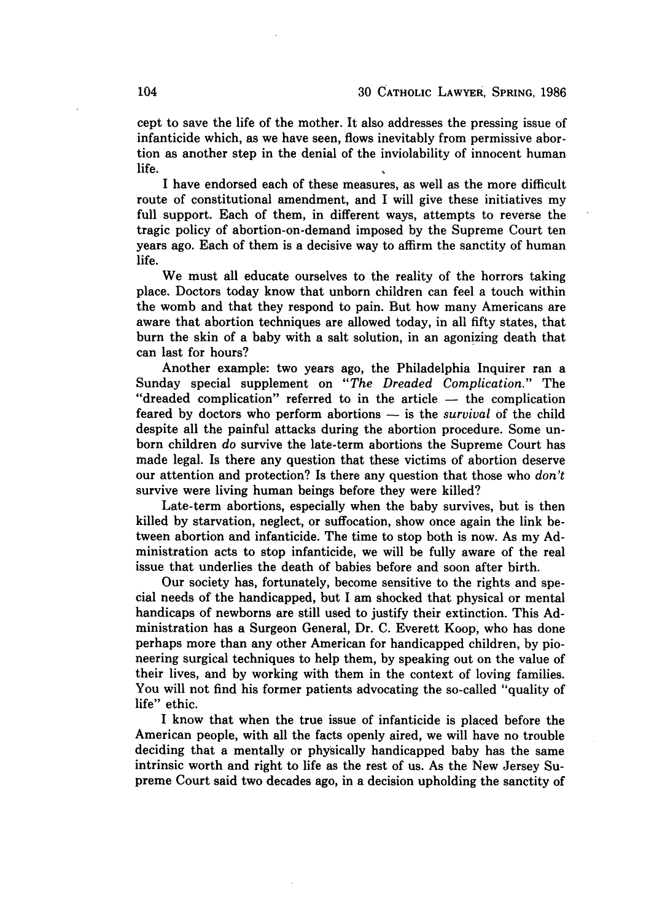cept to save the life of the mother. It also addresses the pressing issue of infanticide which, as we have seen, flows inevitably from permissive abortion as another step in the denial of the inviolability of innocent human life.

I have endorsed each of these measures, as well as the more difficult route of constitutional amendment, and I will give these initiatives my full support. Each of them, in different ways, attempts to reverse the tragic policy of abortion-on-demand imposed by the Supreme Court ten years ago. Each of them is a decisive way to affirm the sanctity of human life.

We must all educate ourselves to the reality of the horrors taking place. Doctors today know that unborn children can feel a touch within the womb and that they respond to pain. But how many Americans are aware that abortion techniques are allowed today, in all fifty states, that burn the skin of a baby with a salt solution, in an agonizing death that can last for hours?

Another example: two years ago, the Philadelphia Inquirer ran a Sunday special supplement on *"The Dreaded Complication."* The "dreaded complication" referred to in the article  $-$  the complication feared by doctors who perform abortions — is the *survival* of the child despite all the painful attacks during the abortion procedure. Some unborn children do survive the late-term abortions the Supreme Court has made legal. Is there any question that these victims of abortion deserve our attention and protection? Is there any question that those who *don't* survive were living human beings before they were killed?

Late-term abortions, especially when the baby survives, but is then killed by starvation, neglect, or suffocation, show once again the link between abortion and infanticide. The time to stop both is now. As my Administration acts to stop infanticide, we will be fully aware of the real issue that underlies the death of babies before and soon after birth.

Our society has, fortunately, become sensitive to the rights and special needs of the handicapped, but I am shocked that physical or mental handicaps of newborns are still used to justify their extinction. This Administration has a Surgeon General, Dr. C. Everett Koop, who has done perhaps more than any other American for handicapped children, by pioneering surgical techniques to help them, by speaking out on the value of their lives, and by working with them in the context of loving families. You will not find his former patients advocating the so-called "quality of life" ethic.

I know that when the true issue of infanticide is placed before the American people, with all the facts openly aired, we will have no trouble deciding that a mentally or physically handicapped baby has the same intrinsic worth and right to life as the rest of us. As the New Jersey Supreme Court said two decades ago, in a decision upholding the sanctity of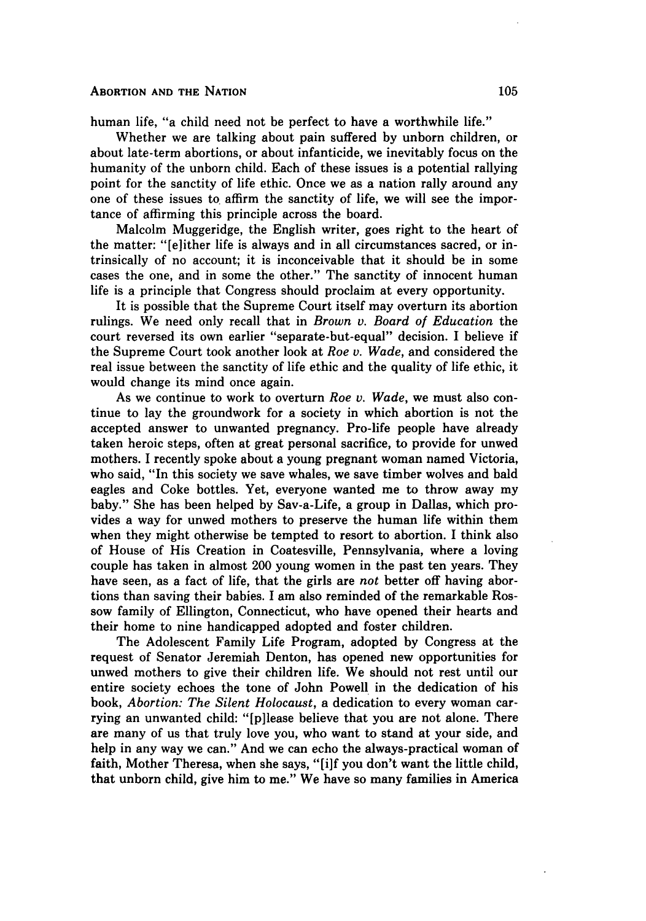human life, "a child need not be perfect to have a worthwhile life."

Whether we are talking about pain suffered **by** unborn children, or about late-term abortions, or about infanticide, we inevitably focus on the humanity of the unborn child. Each of these issues is a potential rallying point for the sanctity of life ethic. Once we as a nation rally around any one of these issues **to** affirm the sanctity of life, we will see the importance of affirming this principle across the board.

Malcolm Muggeridge, the English writer, goes right to the heart of the matter: "[ejither life is always and in all circumstances sacred, or intrinsically of no account; it is inconceivable that it should be in some cases the one, and in some the other." The sanctity of innocent human life is a principle that Congress should proclaim at every opportunity.

It is possible that the Supreme Court itself may overturn its abortion rulings. We need only recall that in *Brown v. Board of Education* the court reversed its own earlier "separate-but-equal" decision. I believe if the Supreme Court took another look at *Roe v. Wade,* and considered the real issue between the sanctity of life ethic and the quality of life ethic, it would change its mind once again.

As we continue to work to overturn *Roe v. Wade,* we must also continue to lay the groundwork for a society in which abortion is not the accepted answer to unwanted pregnancy. Pro-life people have already taken heroic steps, often at great personal sacrifice, to provide for unwed mothers. **I** recently spoke about a young pregnant woman named Victoria, who said, "In this society we save whales, we save timber wolves and bald eagles and Coke bottles. Yet, everyone wanted me to throw away my baby." She has been helped **by** Say-a-Life, a group in Dallas, which provides a way for unwed mothers to preserve the human life within them when they might otherwise be tempted to resort to abortion. I think also of House of His Creation in Coatesville, Pennsylvania, where a loving couple has taken in almost 200 young women in the past ten years. They have seen, as a fact of life, that the girls are *not* better off having abortions than saving their babies. **I** am also reminded of the remarkable Rossow family of Ellington, Connecticut, who have opened their hearts and their home to nine handicapped adopted and foster children.

The Adolescent Family Life Program, adopted **by** Congress at the request of Senator Jeremiah Denton, has opened new opportunities for unwed mothers to give their children life. We should not rest until our entire society echoes the tone of John Powell in the dedication of his book, *Abortion: The Silent Holocaust,* a dedication to every woman carrying an unwanted child: "[p]lease believe that you are not alone. There are many of us that truly love you, who want to stand at your side, and help in any way we can." And we can echo the always-practical woman of faith, Mother Theresa, when she says, "[i]f you don't want the little child, that unborn child, give him to me." We have so many families in America